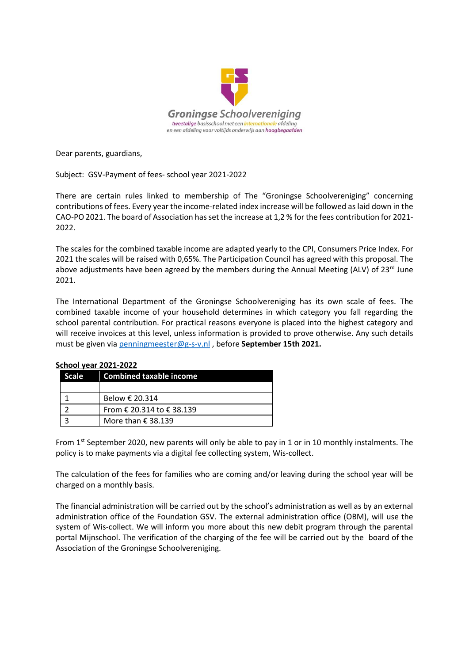

Dear parents, guardians,

Subject: GSV-Payment of fees- school year 2021-2022

There are certain rules linked to membership of The "Groningse Schoolvereniging" concerning contributions of fees. Every year the income-related index increase will be followed as laid down in the CAO-PO 2021. The board of Association hasset the increase at 1,2 % for the fees contribution for 2021- 2022.

The scales for the combined taxable income are adapted yearly to the CPI, Consumers Price Index. For 2021 the scales will be raised with 0,65%. The Participation Council has agreed with this proposal. The above adjustments have been agreed by the members during the Annual Meeting (ALV) of  $23^{rd}$  June 2021.

The International Department of the Groningse Schoolvereniging has its own scale of fees. The combined taxable income of your household determines in which category you fall regarding the school parental contribution. For practical reasons everyone is placed into the highest category and will receive invoices at this level, unless information is provided to prove otherwise. Any such details must be given via [penningmeester@g-s-v.nl](mailto:penningmeester@g-s-v.nl) , before **September 15th 2021.**

| Scale | <b>Combined taxable income</b> |  |  |  |  |
|-------|--------------------------------|--|--|--|--|
|       |                                |  |  |  |  |
|       | Below € 20.314                 |  |  |  |  |
|       | From € 20.314 to € 38.139      |  |  |  |  |
|       | More than $\epsilon$ 38.139    |  |  |  |  |

## **School year 2021-2022**

From  $1<sup>st</sup> September 2020$ , new parents will only be able to pay in 1 or in 10 monthly instalments. The policy is to make payments via a digital fee collecting system, Wis-collect.

The calculation of the fees for families who are coming and/or leaving during the school year will be charged on a monthly basis.

The financial administration will be carried out by the school's administration as well as by an external administration office of the Foundation GSV. The external administration office (OBM), will use the system of Wis-collect. We will inform you more about this new debit program through the parental portal Mijnschool. The verification of the charging of the fee will be carried out by the board of the Association of the Groningse Schoolvereniging.